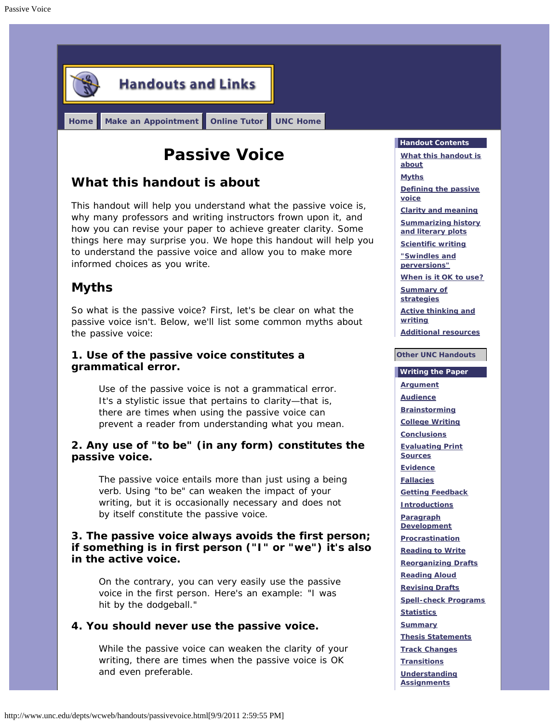<span id="page-0-3"></span><span id="page-0-2"></span>

# **Passive Voice**

# <span id="page-0-0"></span>**What this handout is about**

This handout will help you understand what the passive voice is, why many professors and writing instructors frown upon it, and how you can revise your paper to achieve greater clarity. Some things here may surprise you. We hope this handout will help you to understand the passive voice and allow you to make more informed choices as you write.

# <span id="page-0-1"></span>**Myths**

So what is the passive voice? First, let's be clear on what the passive voice isn't. Below, we'll list some common myths about the passive voice:

### **1. Use of the passive voice constitutes a grammatical error.**

Use of the passive voice is not a grammatical error. It's a stylistic issue that pertains to clarity—that is, there are times when using the passive voice can prevent a reader from understanding what you mean.

### **2. Any use of "to be" (in any form) constitutes the passive voice.**

The passive voice entails more than just using a being verb. Using "to be" can weaken the impact of your writing, but it is occasionally necessary and does not *by itself* constitute the passive voice.

### **3. The passive voice always avoids the first person; if something is in first person ("I" or "we") it's also in the active voice.**

On the contrary, you can very easily use the passive voice in the first person. Here's an example: "I was hit by the dodgeball."

### **4. You should never use the passive voice.**

While the passive voice can weaken the clarity of your writing, there are times when the passive voice is OK and even preferable.

#### **Handout Contents**

**[What this handout is](#page-0-0) [about](#page-0-0)**

**[Myths](#page-0-1)**

**[Defining the passive](#page-1-0) [voice](#page-1-0)**

**[Clarity and meaning](#page-2-0)**

**[Summarizing history](#page-4-0) [and literary plots](#page-4-0)**

**[Scientific writing](#page-4-1)**

**["Swindles and](#page-6-0) [perversions"](#page-6-0)**

**[When is it OK to use?](#page-6-1)**

**[Summary of](#page-7-0) [strategies](#page-7-0)**

**[Active thinking and](#page-8-0) [writing](#page-8-0)**

**[Additional resources](#page-8-1)**

### **Other UNC Handouts**

#### **Writing the Paper**

**[Argument](http://www.unc.edu/depts/wcweb/handouts/argument.html) [Audience](http://www.unc.edu/depts/wcweb/handouts/audience.html) [Brainstorming](http://www.unc.edu/depts/wcweb/handouts/brainstorming.html) [College Writing](http://www.unc.edu/depts/wcweb/handouts/college_writing.html) [Conclusions](http://www.unc.edu/depts/wcweb/handouts/conclusions.html) [Evaluating Print](http://www.unc.edu/depts/wcweb/handouts/evidence.html) [Sources](http://www.unc.edu/depts/wcweb/handouts/evidence.html) [Evidence](http://www.unc.edu/depts/wcweb/handouts/evidence_use.html) [Fallacies](http://www.unc.edu/depts/wcweb/handouts/fallacies.html) [Getting Feedback](http://www.unc.edu/depts/wcweb/handouts/feedback.html) [Introductions](http://www.unc.edu/depts/wcweb/handouts/introductions.html) [Paragraph](http://www.unc.edu/depts/wcweb/handouts/paragraphs.html) [Development](http://www.unc.edu/depts/wcweb/handouts/paragraphs.html) [Procrastination](http://www.unc.edu/depts/wcweb/handouts/procrastination.html) [Reading to Write](http://www.unc.edu/depts/wcweb/handouts/readingwriting.html) [Reorganizing Drafts](http://www.unc.edu/depts/wcweb/handouts/organization.html) [Reading Aloud](http://www.unc.edu/depts/wcweb/handouts/reading_aloud.html) [Revising Drafts](http://www.unc.edu/depts/wcweb/handouts/revision.html) [Spell-check Programs](http://www.unc.edu/depts/wcweb/handouts/spellcheck.html) [Statistics](http://www.unc.edu/depts/wcweb/handouts/statistics.html) [Summary](http://www.unc.edu/depts/wcweb/handouts/summary.html) [Thesis Statements](http://www.unc.edu/depts/wcweb/handouts/thesis.html) [Track Changes](http://www.unc.edu/depts/wcweb/handouts/comments.html) [Transitions](http://www.unc.edu/depts/wcweb/handouts/transitions.html) [Understanding](http://www.unc.edu/depts/wcweb/handouts/readassign.html) [Assignments](http://www.unc.edu/depts/wcweb/handouts/readassign.html)**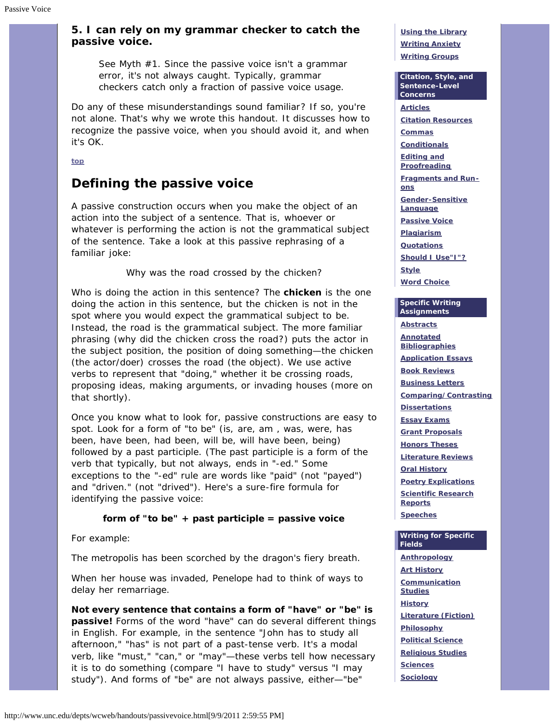### **5. I can rely on my grammar checker to catch the passive voice.**

See Myth #1. Since the passive voice isn't a grammar error, it's not always caught. Typically, grammar checkers catch only a fraction of passive voice usage.

Do any of these misunderstandings sound familiar? If so, you're not alone. That's why we wrote this handout. It discusses how to recognize the passive voice, when you should avoid it, and when it's OK.

**[top](#page-0-2)**

# <span id="page-1-0"></span>**Defining the passive voice**

A passive construction occurs when you make the object of an action into the subject of a sentence. That is, whoever or whatever is performing the action is not the grammatical subject of the sentence. Take a look at this passive rephrasing of a familiar joke:

### *Why was the road crossed by the chicken?*

Who is doing the action in this sentence? The **chicken** is the one doing the action in this sentence, but the chicken is not in the spot where you would expect the grammatical subject to be. Instead, the road is the grammatical subject. The more familiar phrasing (why did the chicken cross the road?) puts the actor in the subject position, the position of doing something—the chicken (the actor/doer) crosses the road (the object). We use active verbs to represent that "doing," whether it be crossing roads, proposing ideas, making arguments, or invading houses (more on that shortly).

Once you know what to look for, passive constructions are easy to spot. Look for a form of "to be" (*is, are, am , was, were, has been, have been, had been, will be, will have been, being*) followed by a past participle. (The past participle is a form of the verb that typically, but not always, ends in "-ed." Some exceptions to the "-ed" rule are words like "paid" (not "payed") and "driven." (not "drived"). Here's a sure-fire formula for identifying the passive voice:

### *form of "to be" + past participle = passive voice*

For example:

*The metropolis has been scorched by the dragon's fiery breath.*

*When her house was invaded, Penelope had to think of ways to delay her remarriage.*

**Not every sentence that contains a form of "have" or "be" is passive!** Forms of the word "have" can do several different things in English. For example, in the sentence "John has to study all afternoon," "has" is not part of a past-tense verb. It's a modal verb, like "must," "can," or "may"—these verbs tell how necessary it is to do something (compare "I have to study" versus "I may study"). And forms of "be" are not always passive, either—"be"

**[Using the Library](http://www.unc.edu/depts/wcweb/handouts/library.html) [Writing Anxiety](http://www.unc.edu/depts/wcweb/handouts/writing_anxiety.html) [Writing Groups](http://www.unc.edu/depts/wcweb/handouts/WritingGroups/index.html)**

**Citation, Style, and Sentence-Level Concerns**

**[Articles](http://www.unc.edu/depts/wcweb/handouts/articles.html)**

**[Citation Resources](http://www.unc.edu/depts/wcweb/handouts/citation.html)**

**[Commas](http://www.unc.edu/depts/wcweb/handouts/commas.html) [Conditionals](http://www.unc.edu/depts/wcweb/handouts/conditionals.html)**

**[Editing and](http://www.unc.edu/depts/wcweb/handouts/proofread.html)**

**[Proofreading](http://www.unc.edu/depts/wcweb/handouts/proofread.html) [Fragments and Run-](http://www.unc.edu/depts/wcweb/handouts/fragments.html)**

**[ons](http://www.unc.edu/depts/wcweb/handouts/fragments.html) [Gender-Sensitive](http://www.unc.edu/depts/wcweb/handouts/gender.html)**

**[Language](http://www.unc.edu/depts/wcweb/handouts/gender.html)**

**[Passive Voice](#page-0-3)**

**[Plagiarism](http://www.unc.edu/depts/wcweb/handouts/plagiarism.html)**

**[Quotations](http://www.unc.edu/depts/wcweb/handouts/quotations.html)**

**[Should I Use"I"?](http://www.unc.edu/depts/wcweb/handouts/should_I_use_I.html)**

**[Style](http://www.unc.edu/depts/wcweb/handouts/style.html)**

**[Word Choice](http://www.unc.edu/depts/wcweb/handouts/word_choice.html)**

### **Specific Writing Assignments**

**[Abstracts](http://www.unc.edu/depts/wcweb/handouts/abstracts.html) [Annotated](http://www.unc.edu/depts/wcweb/handouts/annotated_bibliographies.html) [Bibliographies](http://www.unc.edu/depts/wcweb/handouts/annotated_bibliographies.html) [Application Essays](http://www.unc.edu/depts/wcweb/handouts/application.html) [Book Reviews](http://www.unc.edu/depts/wcweb/handouts/review.html) [Business Letters](http://www.unc.edu/depts/wcweb/handouts/business.html) [Comparing/Contrasting](http://www.unc.edu/depts/wcweb/handouts/comparison_contrast.html) [Dissertations](http://www.unc.edu/depts/wcweb/handouts/dissertation.html) [Essay Exams](http://www.unc.edu/depts/wcweb/handouts/essay-exams.html) [Grant Proposals](http://www.unc.edu/depts/wcweb/handouts/grant_proposals.html) [Honors Theses](http://www.unc.edu/depts/wcweb/handouts/honors.html) [Literature Reviews](http://www.unc.edu/depts/wcweb/handouts/literature_review.html) [Oral History](http://www.unc.edu/depts/wcweb/handouts/oral_history.html) [Poetry Explications](http://www.unc.edu/depts/wcweb/handouts/poetry-explication.html) [Scientific Research](http://www.unc.edu/depts/wcweb/handouts/lab_report_complete.html) [Reports](http://www.unc.edu/depts/wcweb/handouts/lab_report_complete.html) [Speeches](http://www.unc.edu/depts/wcweb/handouts/speeches.html)**

#### **Writing for Specific Fields**

**[Anthropology](http://www.unc.edu/depts/wcweb/handouts/anthropology.html) [Art History](http://www.unc.edu/depts/wcweb/handouts/arthistory.html) [Communication](http://www.unc.edu/depts/wcweb/handouts/communications.html) [Studies](http://www.unc.edu/depts/wcweb/handouts/communications.html) [History](http://www.unc.edu/depts/wcweb/handouts/history.html) [Literature \(Fiction\)](http://www.unc.edu/depts/wcweb/handouts/literature.html) [Philosophy](http://www.unc.edu/depts/wcweb/handouts/philosophy.html) [Political Science](http://www.unc.edu/depts/wcweb/handouts/polisci.html) [Religious Studies](http://www.unc.edu/depts/wcweb/handouts/religious_studies.html) [Sciences](http://www.unc.edu/depts/wcweb/handouts/sciences.html) [Sociology](http://www.unc.edu/depts/wcweb/handouts/sociology.html)**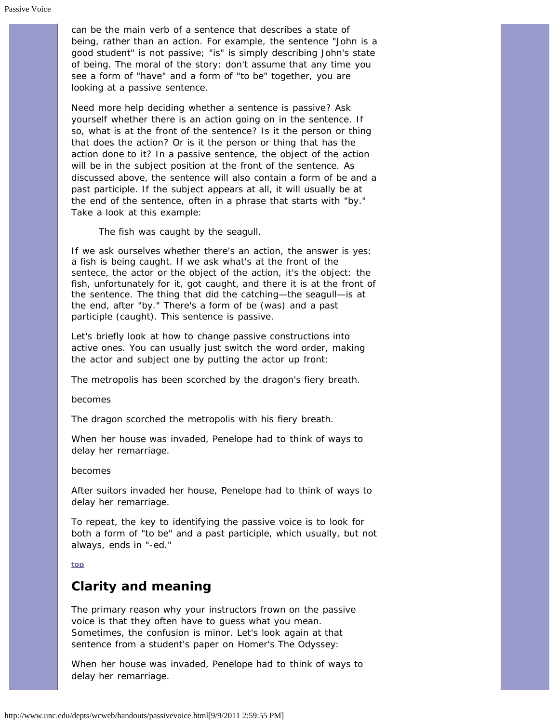can be the main verb of a sentence that describes a state of being, rather than an action. For example, the sentence "John is a good student" is not passive; "is" is simply describing John's state of being. The moral of the story: don't assume that any time you see a form of "have" and a form of "to be" together, you are looking at a passive sentence.

Need more help deciding whether a sentence is passive? Ask yourself whether there is an action going on in the sentence. If so, what is at the front of the sentence? Is it the person or thing that does the action? Or is it the person or thing that has the action done to it? In a passive sentence, the object of the action will be in the subject position at the front of the sentence. As discussed above, the sentence will also contain a form of be and a past participle. If the subject appears at all, it will usually be at the end of the sentence, often in a phrase that starts with "by." Take a look at this example:

The fish was caught by the seagull.

If we ask ourselves whether there's an action, the answer is yes: a fish is being caught. If we ask what's at the front of the sentece, the actor or the object of the action, it's the object: the fish, unfortunately for it, got caught, and there it is at the front of the sentence. The thing that did the catching—the seagull—is at the end, after "by." There's a form of be (was) and a past participle (caught). This sentence is passive.

Let's briefly look at how to change passive constructions into active ones. You can usually just switch the word order, making the actor and subject one by putting the actor up front:

*The metropolis has been scorched by the dragon's fiery breath.*

becomes

*The dragon scorched the metropolis with his fiery breath.*

*When her house was invaded, Penelope had to think of ways to delay her remarriage.*

becomes

*After suitors invaded her house, Penelope had to think of ways to delay her remarriage.*

To repeat, the key to identifying the passive voice is to look for *both* a form of "to be" *and* a past participle, which usually, but not always, ends in "-ed."

#### **[top](#page-0-2)**

# <span id="page-2-0"></span>**Clarity and meaning**

The primary reason why your instructors frown on the passive voice is that they often have to guess what you mean. Sometimes, the confusion is minor. Let's look again at that sentence from a student's paper on Homer's *The Odyssey*:

*When her house was invaded, Penelope had to think of ways to delay her remarriage.*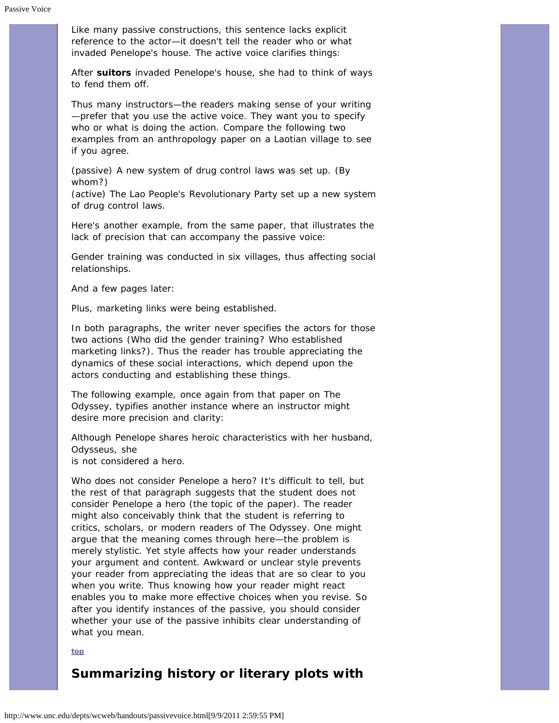Like many passive constructions, this sentence lacks explicit reference to the actor—it doesn't tell the reader *who* or *what* invaded Penelope's house. The active voice clarifies things:

*After suitors invaded Penelope's house, she had to think of ways to fend them off.*

Thus many instructors—the readers making sense of your writing —prefer that you use the active voice. They want you to specify who or what is doing the action. Compare the following two examples from an anthropology paper on a Laotian village to see if you agree.

(passive) *A new system of drug control laws was set up.* (By whom?)

(active) *The Lao People's Revolutionary Party set up a new system of drug control laws.*

Here's another example, from the same paper, that illustrates the lack of precision that can accompany the passive voice:

*Gender training was conducted in six villages, thus affecting social relationships.*

And a few pages later:

*Plus, marketing links were being established.*

In both paragraphs, the writer never specifies the actors for those two actions (*Who* did the gender training? *Who* established marketing links?). Thus the reader has trouble appreciating the dynamics of these social interactions, which depend upon the actors conducting and establishing these things.

The following example, once again from that paper on *The Odyssey*, typifies another instance where an instructor might desire more precision and clarity:

*Although Penelope shares heroic characteristics with her husband, Odysseus, she*

*is not considered a hero.*

*Who* does not consider Penelope a hero? It's difficult to tell, but the rest of that paragraph suggests that the *student* does not consider Penelope a hero (the topic of the paper). The reader might also conceivably think that the student is referring to critics, scholars, or modern readers of *The Odyssey*. One might argue that the meaning comes through here—the problem is merely stylistic. Yet style affects how your reader understands your argument and content. Awkward or unclear style prevents your reader from appreciating the ideas that are so clear to *you* when you write. Thus knowing how your reader might react enables you to make more effective choices when you revise. So after you identify instances of the passive, you should consider whether your use of the passive inhibits clear understanding of what you mean.

**[top](#page-0-2)**

# **Summarizing history or literary plots with**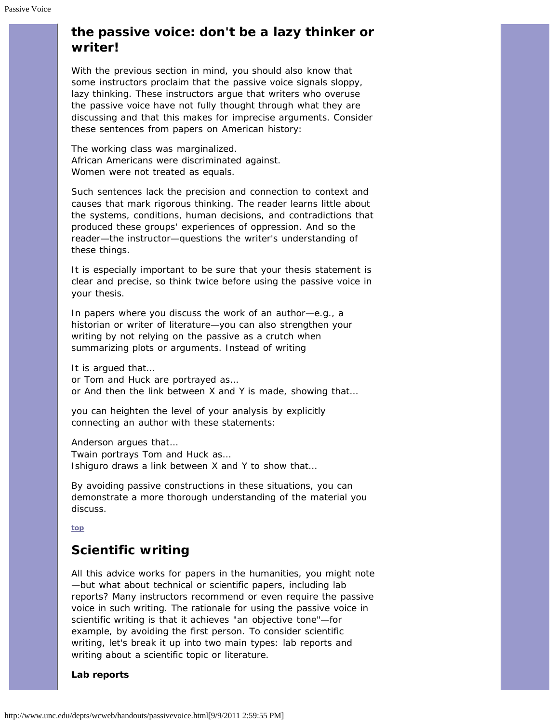# <span id="page-4-0"></span>**the passive voice: don't be a lazy thinker or writer!**

With the previous section in mind, you should also know that some instructors proclaim that the passive voice signals sloppy, lazy thinking. These instructors argue that writers who overuse the passive voice have not fully thought through what they are discussing and that this makes for imprecise arguments. Consider these sentences from papers on American history:

*The working class was marginalized. African Americans were discriminated against. Women were not treated as equals.*

Such sentences lack the precision and connection to context and causes that mark rigorous thinking. The reader learns little about the systems, conditions, human decisions, and contradictions that produced these groups' experiences of oppression. And so the reader—the instructor—questions the writer's understanding of these things.

It is especially important to be sure that your thesis statement is clear and precise, so think twice before using the passive voice in your thesis.

In papers where you discuss the work of an author—e.g., a historian or writer of literature—you can also strengthen your writing by not relying on the passive as a crutch when summarizing plots or arguments. Instead of writing

*It is argued that…* or *Tom and Huck are portrayed as…* or *And then the link between X and Y is made, showing that…*

you can heighten the level of your analysis by explicitly connecting an author with these statements:

*Anderson argues that… Twain portrays Tom and Huck as…*

*Ishiguro draws a link between X and Y to show that…*

By avoiding passive constructions in these situations, you can demonstrate a more thorough understanding of the material you discuss.

**[top](#page-0-2)**

# <span id="page-4-1"></span>**Scientific writing**

All this advice works for papers in the humanities, you might note —but what about technical or scientific papers, including lab reports? Many instructors recommend or even require the passive voice in such writing. The rationale for using the passive voice in scientific writing is that it achieves "an objective tone"—for example, by avoiding the first person. To consider scientific writing, let's break it up into two main types: lab reports and writing about a scientific topic or literature.

### **Lab reports**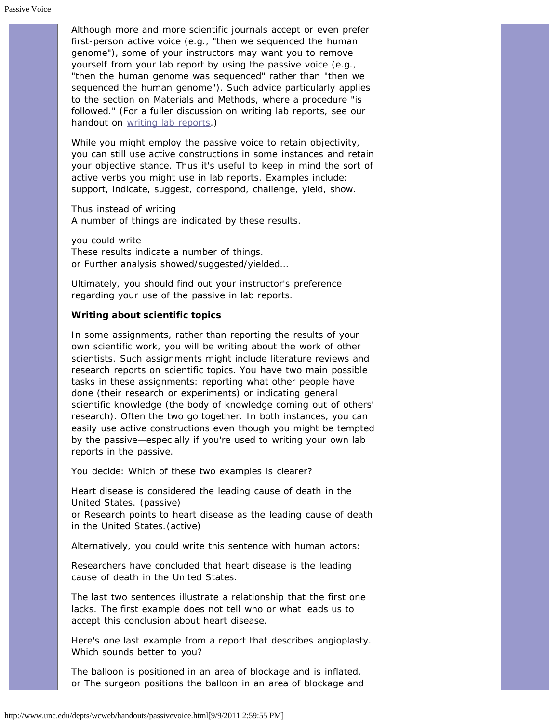Although more and more scientific journals accept or even prefer first-person active voice (e.g., "then we sequenced the human genome"), some of your instructors may want you to remove yourself from your lab report by using the passive voice (e.g., "then the human genome was sequenced" rather than "then we sequenced the human genome"). Such advice particularly applies to the section on Materials and Methods, where a procedure "is followed." (For a fuller discussion on writing lab reports, see our handout on [writing lab reports.](http://www.unc.edu/depts/wcweb/handouts/lab_report_complete.html))

While you might employ the passive voice to retain objectivity, you can still use active constructions in some instances and retain your objective stance. Thus it's useful to keep in mind the sort of active verbs you might use in lab reports. Examples include: support, indicate, suggest, correspond, challenge, yield, show.

Thus instead of writing *A number of things are indicated by these results.*

you could write *These results indicate a number of things.* or *Further analysis showed/suggested/yielded…*

Ultimately, you should find out your instructor's preference regarding your use of the passive in lab reports.

#### **Writing about scientific topics**

In some assignments, rather than reporting the results of your own scientific work, you will be writing about the work of other scientists. Such assignments might include literature reviews and research reports on scientific topics. You have two main possible tasks in these assignments: reporting what other people have done (their research or experiments) or indicating general scientific knowledge (the body of knowledge coming out of others' research). Often the two go together. In both instances, you can easily use active constructions even though you might be tempted by the passive—especially if you're used to writing your own lab reports in the passive.

You decide: Which of these two examples is clearer?

*Heart disease is considered the leading cause of death in the United States.* (passive) or *Research points to heart disease as the leading cause of death in the United States.*(active)

Alternatively, you could write this sentence with human actors:

*Researchers have concluded that heart disease is the leading cause of death in the United States.*

The last two sentences illustrate a relationship that the first one lacks. The first example does not tell who or what leads us to accept this conclusion about heart disease.

Here's one last example from a report that describes angioplasty. Which sounds better to you?

*The balloon is positioned in an area of blockage and is inflated.* or *The surgeon positions the balloon in an area of blockage and*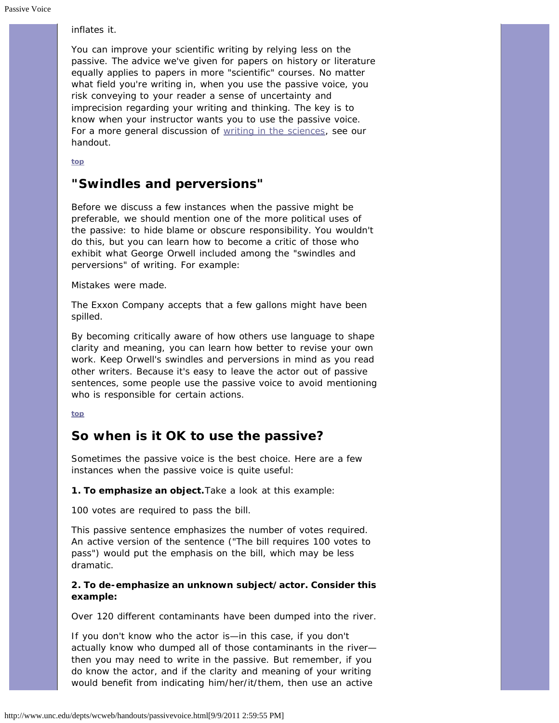## *inflates it.*

You can improve your scientific writing by relying less on the passive. The advice we've given for papers on history or literature equally applies to papers in more "scientific" courses. No matter what field you're writing in, when you use the passive voice, you risk conveying to your reader a sense of uncertainty and imprecision regarding your writing and thinking. The key is to know when your instructor wants you to use the passive voice. For a more general discussion of [writing in the sciences,](http://www.unc.edu/depts/wcweb/handouts/sciences.html) see our handout.

**[top](#page-0-2)**

# <span id="page-6-0"></span>**"Swindles and perversions"**

Before we discuss a few instances when the passive might be preferable, we should mention one of the more political uses of the passive: to hide blame or obscure responsibility. *You* wouldn't do this, but you can learn how to become a critic of those who exhibit what George Orwell included among the "swindles and perversions" of writing. For example:

# *Mistakes were made.*

*The Exxon Company accepts that a few gallons might have been spilled.*

By becoming critically aware of how others use language to shape clarity and meaning, you can learn how better to revise your own work. Keep Orwell's swindles and perversions in mind as you read other writers. Because it's easy to leave the actor out of passive sentences, some people use the passive voice to avoid mentioning who is responsible for certain actions.

**[top](#page-0-2)**

# <span id="page-6-1"></span>**So when is it OK to use the passive?**

Sometimes the passive voice is the best choice. Here are a few instances when the passive voice is quite useful:

**1. To emphasize an object.**Take a look at this example:

# *100 votes are required to pass the bill.*

This passive sentence emphasizes the number of votes required. An active version of the sentence ("The bill requires 100 votes to pass") would put the emphasis on the bill, which may be less dramatic.

## **2. To de-emphasize an unknown subject/actor. Consider this example:**

*Over 120 different contaminants have been dumped into the river.*

If you don't know who the actor is—in this case, if you don't actually know who dumped all of those contaminants in the river then you may need to write in the passive. But remember, if you do know the actor, and if the clarity and meaning of your writing would benefit from indicating him/her/it/them, then use an active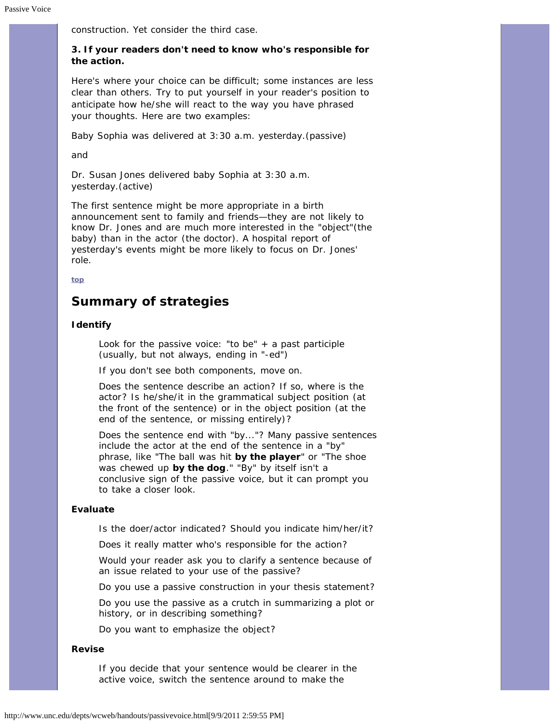construction. Yet consider the third case.

### **3. If your readers don't need to know who's responsible for the action.**

Here's where your choice can be difficult; some instances are less clear than others. Try to put yourself in your reader's position to anticipate how he/she will react to the way you have phrased your thoughts. Here are two examples:

*Baby Sophia was delivered at 3:30 a.m. yesterday.*(passive)

and

*Dr. Susan Jones delivered baby Sophia at 3:30 a.m. yesterday.*(active)

The first sentence might be more appropriate in a birth announcement sent to family and friends—they are not likely to know Dr. Jones and are much more interested in the "object"(the baby) than in the actor (the doctor). A hospital report of yesterday's events might be more likely to focus on Dr. Jones' role.

**[top](#page-0-2)**

# <span id="page-7-0"></span>**Summary of strategies**

### **Identify**

Look for the passive voice: "to be"  $+$  a past participle (usually, but not always, ending in "-ed")

If you don't see both components, move on.

Does the sentence describe an action? If so, where is the actor? Is he/she/it in the grammatical subject position (at the front of the sentence) or in the object position (at the end of the sentence, or missing entirely)?

Does the sentence end with "by..."? Many passive sentences include the actor at the end of the sentence in a "by" phrase, like "The ball was hit **by the player**" or "The shoe was chewed up **by the dog**." "By" by itself isn't a conclusive sign of the passive voice, but it can prompt you to take a closer look.

### **Evaluate**

Is the doer/actor indicated? Should you indicate him/her/it?

Does it really matter who's responsible for the action?

Would your reader ask you to clarify a sentence because of an issue related to your use of the passive?

Do you use a passive construction in your thesis statement?

Do you use the passive as a crutch in summarizing a plot or history, or in describing something?

Do you want to emphasize the object?

#### **Revise**

If you decide that your sentence would be clearer in the active voice, switch the sentence around to make the